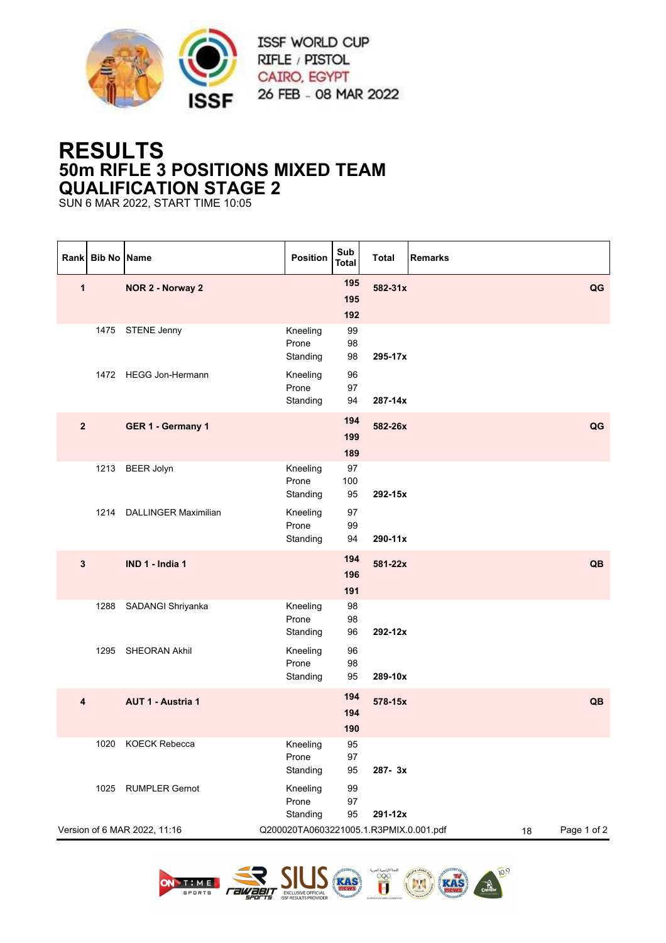

## **RESULTS 50m RIFLE 3 POSITIONS MIXED TEAM QUALIFICATION STAGE 2**

SUN 6 MAR 2022, START TIME 10:05

|              | Rank Bib No Name |                              | <b>Position</b>                        | Sub<br><b>Total</b> | <b>Total</b> | <b>Remarks</b> |             |
|--------------|------------------|------------------------------|----------------------------------------|---------------------|--------------|----------------|-------------|
| $\mathbf{1}$ |                  | NOR 2 - Norway 2             |                                        | 195<br>195<br>192   | 582-31x      |                | QG          |
|              |                  | 1475 STENE Jenny             | Kneeling<br>Prone<br>Standing          | 99<br>98<br>98      | 295-17x      |                |             |
|              |                  | 1472 HEGG Jon-Hermann        | Kneeling<br>Prone<br>Standing          | 96<br>97<br>94      | 287-14x      |                |             |
| $\mathbf{2}$ |                  | GER 1 - Germany 1            |                                        | 194<br>199<br>189   | 582-26x      |                | QG          |
|              | 1213             | <b>BEER Jolyn</b>            | Kneeling<br>Prone<br>Standing          | 97<br>100<br>95     | 292-15x      |                |             |
|              | 1214             | <b>DALLINGER Maximilian</b>  | Kneeling<br>Prone<br>Standing          | 97<br>99<br>94      | 290-11x      |                |             |
| $\mathbf{3}$ |                  | IND 1 - India 1              |                                        | 194<br>196<br>191   | 581-22x      |                | QB          |
|              |                  | 1288 SADANGI Shriyanka       | Kneeling<br>Prone<br>Standing          | 98<br>98<br>96      | 292-12x      |                |             |
|              |                  | 1295 SHEORAN Akhil           | Kneeling<br>Prone<br>Standing          | 96<br>98<br>95      | 289-10x      |                |             |
| 4            |                  | <b>AUT 1 - Austria 1</b>     |                                        | 194<br>194<br>190   | 578-15x      |                | QB          |
|              |                  | 1020 KOECK Rebecca           | Kneeling<br>Prone<br>Standing          | 95<br>97<br>95      | 287-3x       |                |             |
|              | 1025             | <b>RUMPLER Gernot</b>        | Kneeling<br>Prone<br>Standing          | 99<br>97<br>95      | 291-12x      |                |             |
|              |                  | Version of 6 MAR 2022, 11:16 | Q200020TA0603221005.1.R3PMIX.0.001.pdf |                     |              | 18             | Page 1 of 2 |